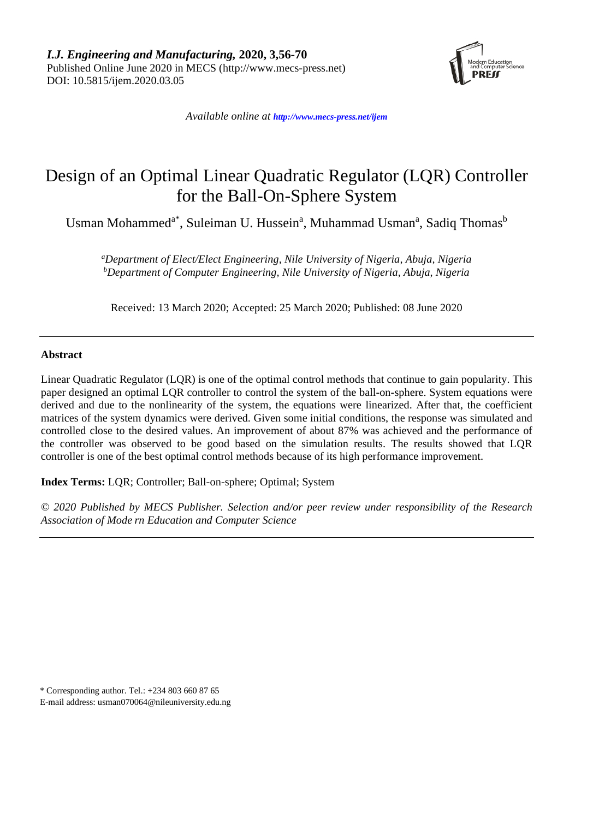

*Available online at <http://www.mecs-press.net/ijem>*

# Design of an Optimal Linear Quadratic Regulator (LQR) Controller for the Ball-On-Sphere System

Usman Mohammed<sup>a\*</sup>, Suleiman U. Hussein<sup>a</sup>, Muhammad Usman<sup>a</sup>, Sadiq Thomas<sup>b</sup>

*a Department of Elect/Elect Engineering, Nile University of Nigeria, Abuja, Nigeria b Department of Computer Engineering, Nile University of Nigeria, Abuja, Nigeria*

Received: 13 March 2020; Accepted: 25 March 2020; Published: 08 June 2020

## **Abstract**

Linear Quadratic Regulator (LQR) is one of the optimal control methods that continue to gain popularity. This paper designed an optimal LQR controller to control the system of the ball-on-sphere. System equations were derived and due to the nonlinearity of the system, the equations were linearized. After that, the coefficient matrices of the system dynamics were derived. Given some initial conditions, the response was simulated and controlled close to the desired values. An improvement of about 87% was achieved and the performance of the controller was observed to be good based on the simulation results. The results showed that LQR controller is one of the best optimal control methods because of its high performance improvement.

**Index Terms:** LQR; Controller; Ball-on-sphere; Optimal; System

*© 2020 Published by MECS Publisher. Selection and/or peer review under responsibility of the Research Association of Mode rn Education and Computer Science*

\* Corresponding author. Tel.: +234 803 660 87 65

E-mail address: [usman070064@nileuniversity.edu.ng](mailto:usman070064@nileuniversity.edu.ng)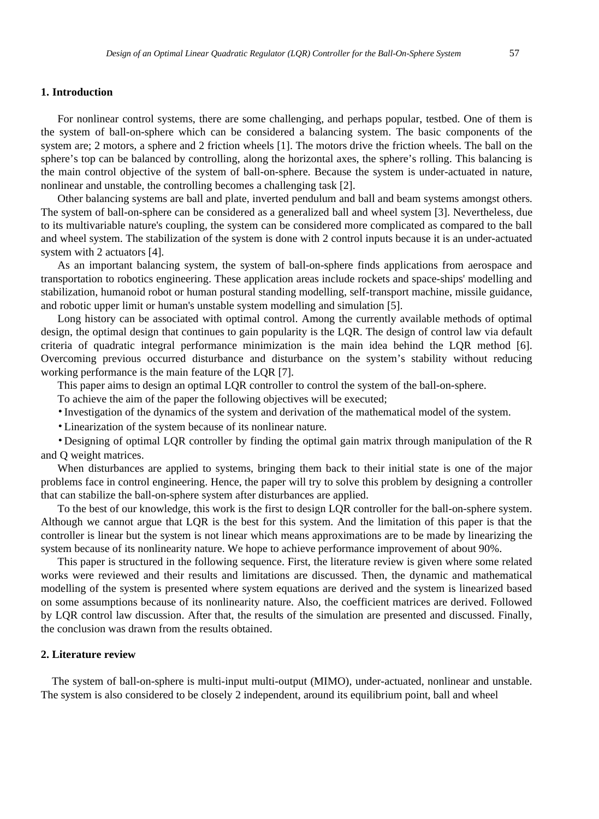#### **1. Introduction**

For nonlinear control systems, there are some challenging, and perhaps popular, testbed. One of them is the system of ball-on-sphere which can be considered a balancing system. The basic components of the system are; 2 motors, a sphere and 2 friction wheels [1]. The motors drive the friction wheels. The ball on the sphere's top can be balanced by controlling, along the horizontal axes, the sphere's rolling. This balancing is the main control objective of the system of ball-on-sphere. Because the system is under-actuated in nature, nonlinear and unstable, the controlling becomes a challenging task [2].

Other balancing systems are ball and plate, inverted pendulum and ball and beam systems amongst others. The system of ball-on-sphere can be considered as a generalized ball and wheel system [3]. Nevertheless, due to its multivariable nature's coupling, the system can be considered more complicated as compared to the ball and wheel system. The stabilization of the system is done with 2 control inputs because it is an under-actuated system with 2 actuators [4].

As an important balancing system, the system of ball-on-sphere finds applications from aerospace and transportation to robotics engineering. These application areas include rockets and space-ships' modelling and stabilization, humanoid robot or human postural standing modelling, self-transport machine, missile guidance, and robotic upper limit or human's unstable system modelling and simulation [5].

Long history can be associated with optimal control. Among the currently available methods of optimal design, the optimal design that continues to gain popularity is the LQR. The design of control law via default criteria of quadratic integral performance minimization is the main idea behind the LQR method [6]. Overcoming previous occurred disturbance and disturbance on the system's stability without reducing working performance is the main feature of the LQR [7].

This paper aims to design an optimal LQR controller to control the system of the ball-on-sphere.

To achieve the aim of the paper the following objectives will be executed;

•Investigation of the dynamics of the system and derivation of the mathematical model of the system.

•Linearization of the system because of its nonlinear nature.

•Designing of optimal LQR controller by finding the optimal gain matrix through manipulation of the R and Q weight matrices.

When disturbances are applied to systems, bringing them back to their initial state is one of the major problems face in control engineering. Hence, the paper will try to solve this problem by designing a controller that can stabilize the ball-on-sphere system after disturbances are applied.

To the best of our knowledge, this work is the first to design LQR controller for the ball-on-sphere system. Although we cannot argue that LQR is the best for this system. And the limitation of this paper is that the controller is linear but the system is not linear which means approximations are to be made by linearizing the system because of its nonlinearity nature. We hope to achieve performance improvement of about 90%.

This paper is structured in the following sequence. First, the literature review is given where some related works were reviewed and their results and limitations are discussed. Then, the dynamic and mathematical modelling of the system is presented where system equations are derived and the system is linearized based on some assumptions because of its nonlinearity nature. Also, the coefficient matrices are derived. Followed by LQR control law discussion. After that, the results of the simulation are presented and discussed. Finally, the conclusion was drawn from the results obtained.

#### **2. Literature review**

The system of ball-on-sphere is multi-input multi-output (MIMO), under-actuated, nonlinear and unstable. The system is also considered to be closely 2 independent, around its equilibrium point, ball and wheel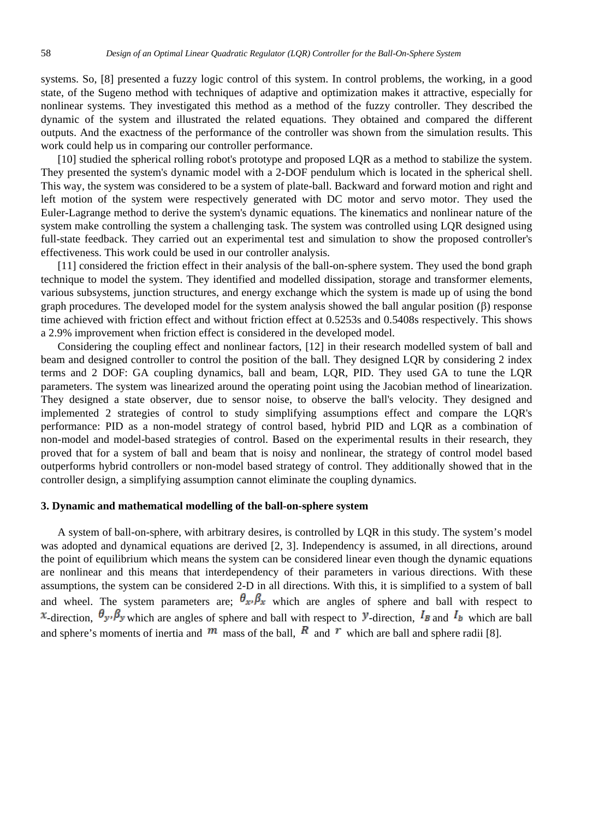systems. So, [8] presented a fuzzy logic control of this system. In control problems, the working, in a good state, of the Sugeno method with techniques of adaptive and optimization makes it attractive, especially for nonlinear systems. They investigated this method as a method of the fuzzy controller. They described the dynamic of the system and illustrated the related equations. They obtained and compared the different outputs. And the exactness of the performance of the controller was shown from the simulation results. This work could help us in comparing our controller performance.

[10] studied the spherical rolling robot's prototype and proposed LQR as a method to stabilize the system. They presented the system's dynamic model with a 2-DOF pendulum which is located in the spherical shell. This way, the system was considered to be a system of plate-ball. Backward and forward motion and right and left motion of the system were respectively generated with DC motor and servo motor. They used the Euler-Lagrange method to derive the system's dynamic equations. The kinematics and nonlinear nature of the system make controlling the system a challenging task. The system was controlled using LQR designed using full-state feedback. They carried out an experimental test and simulation to show the proposed controller's effectiveness. This work could be used in our controller analysis.

 [11] considered the friction effect in their analysis of the ball-on-sphere system. They used the bond graph technique to model the system. They identified and modelled dissipation, storage and transformer elements, various subsystems, junction structures, and energy exchange which the system is made up of using the bond graph procedures. The developed model for the system analysis showed the ball angular position (β) response time achieved with friction effect and without friction effect at 0.5253s and 0.5408s respectively. This shows a 2.9% improvement when friction effect is considered in the developed model.

 Considering the coupling effect and nonlinear factors, [12] in their research modelled system of ball and beam and designed controller to control the position of the ball. They designed LQR by considering 2 index terms and 2 DOF: GA coupling dynamics, ball and beam, LQR, PID. They used GA to tune the LQR parameters. The system was linearized around the operating point using the Jacobian method of linearization. They designed a state observer, due to sensor noise, to observe the ball's velocity. They designed and implemented 2 strategies of control to study simplifying assumptions effect and compare the LQR's performance: PID as a non-model strategy of control based, hybrid PID and LQR as a combination of non-model and model-based strategies of control. Based on the experimental results in their research, they proved that for a system of ball and beam that is noisy and nonlinear, the strategy of control model based outperforms hybrid controllers or non-model based strategy of control. They additionally showed that in the controller design, a simplifying assumption cannot eliminate the coupling dynamics.

#### **3. Dynamic and mathematical modelling of the ball-on-sphere system**

 A system of ball-on-sphere, with arbitrary desires, is controlled by LQR in this study. The system's model was adopted and dynamical equations are derived [2, 3]. Independency is assumed, in all directions, around the point of equilibrium which means the system can be considered linear even though the dynamic equations are nonlinear and this means that interdependency of their parameters in various directions. With these assumptions, the system can be considered 2-D in all directions. With this, it is simplified to a system of ball and wheel. The system parameters are;  $\theta_x \beta_x$  which are angles of sphere and ball with respect to  $\alpha$ -direction,  $\theta_{\alpha}$ ,  $\beta_{\gamma}$  which are angles of sphere and ball with respect to  $\gamma$ -direction,  $I_B$  and  $I_b$  which are ball and sphere's moments of inertia and  $m$  mass of the ball,  $\overline{R}$  and  $\overline{r}$  which are ball and sphere radii [8].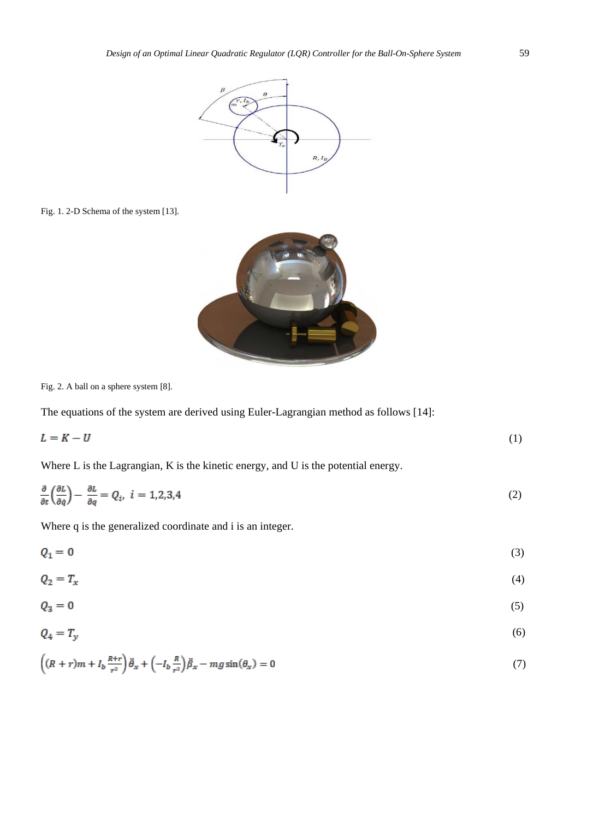

Fig. 1. 2-D Schema of the system [13].



Fig. 2. A ball on a sphere system [8].

The equations of the system are derived using Euler-Lagrangian method as follows [14]:

$$
L = K - U \tag{1}
$$

Where L is the Lagrangian, K is the kinetic energy, and U is the potential energy.

$$
\frac{\partial}{\partial t} \left( \frac{\partial L}{\partial \dot{q}} \right) - \frac{\partial L}{\partial q} = Q_i, \quad i = 1, 2, 3, 4 \tag{2}
$$

Where q is the generalized coordinate and i is an integer.

$$
Q_1 = 0 \tag{3}
$$

$$
Q_2 = T_x \tag{4}
$$

$$
Q_3 = 0 \tag{5}
$$

$$
Q_4 = T_y \tag{6}
$$

$$
\left( (R+r)m + I_b \frac{R+r}{r^2} \right) \ddot{\theta}_x + \left( -I_b \frac{R}{r^2} \right) \ddot{\beta}_x - mg \sin(\theta_x) = 0 \tag{7}
$$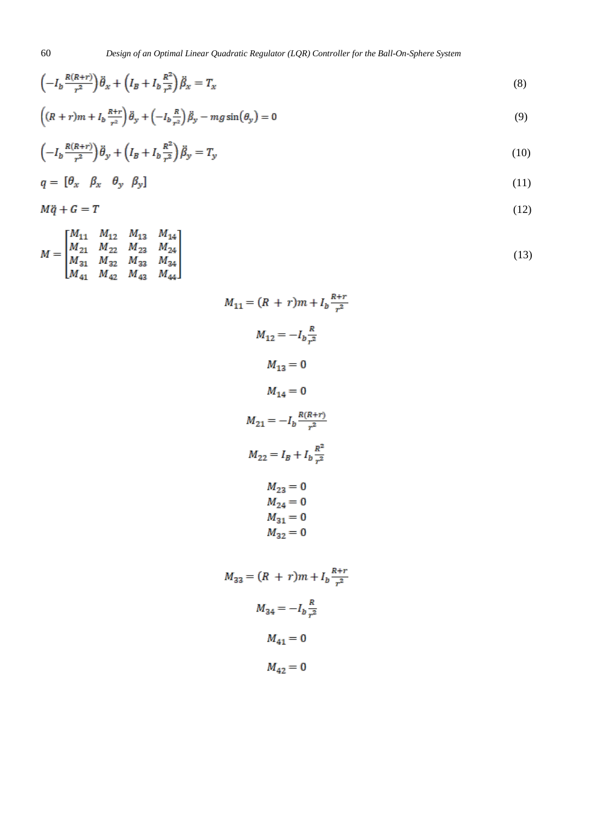$$
\left(-I_b \frac{R(R+r)}{r^2}\right)\ddot{\theta}_x + \left(I_B + I_b \frac{R^2}{r^2}\right)\ddot{\beta}_x = T_x\tag{8}
$$

$$
\left( (R+r)m + I_b \frac{R+r}{r^2} \right) \ddot{\theta}_y + \left( -I_b \frac{R}{r^2} \right) \ddot{\beta}_y - mg \sin(\theta_y) = 0 \tag{9}
$$

$$
\left(-I_b \frac{R(R+r)}{r^2}\right) \ddot{\theta}_y + \left(I_B + I_b \frac{R^2}{r^2}\right) \ddot{\beta}_y = T_y \tag{10}
$$

$$
q = \begin{bmatrix} \theta_x & \beta_x & \theta_y & \beta_y \end{bmatrix} \tag{11}
$$

(12)

$$
M\ddot{q} + G = T
$$

$$
M = \begin{bmatrix} M_{11} & M_{12} & M_{13} & M_{14} \\ M_{21} & M_{22} & M_{23} & M_{24} \\ M_{31} & M_{32} & M_{33} & M_{34} \\ M_{41} & M_{42} & M_{43} & M_{44} \end{bmatrix}
$$
 (13)

| $M_{11} = (R + r)m + I_b \frac{R+r}{r^2}$                     |
|---------------------------------------------------------------|
| $M_{12} = -I_b \frac{R}{r^2}$                                 |
| $M_{13} = 0$                                                  |
| $M_{14} = 0$                                                  |
| $M_{21} = -I_b \frac{R(R+r)}{r^2}$                            |
| $M_{22} = I_B + I_b \frac{R^2}{r^2}$                          |
| $M_{23} = 0$<br>$M_{24} = 0$<br>$M_{31} = 0$<br>$M_{32}^{}=0$ |
| $M_{33} = (R + r)m + I_b \frac{R+r}{r^2}$                     |
| $M_{34} = -I_b \frac{R}{r^2}$                                 |
| $M_{41} = 0$                                                  |
| $M_{42} = 0$                                                  |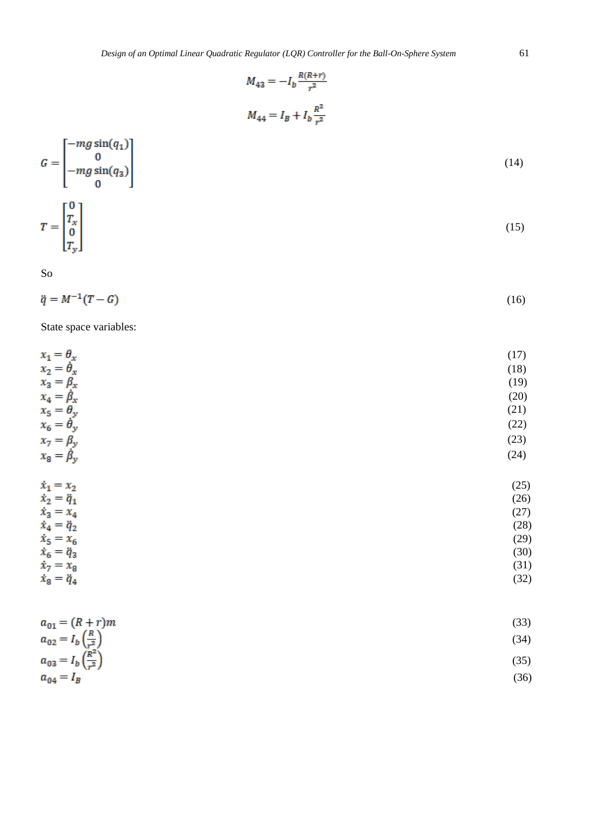$$
M_{43} = -I_b \frac{R(R+r)}{r^2}
$$
  

$$
M_{44} = I_B + I_b \frac{R^2}{r^2}
$$



So

$$
\ddot{q} = M^{-1}(T - G) \tag{16}
$$

State space variables:

| $x_1 = \theta_x$                            | (17) |
|---------------------------------------------|------|
| $x_2 = \dot{\theta}_x$                      | (18) |
| $x_3 = \beta_x$                             | (19) |
| $x_4 = \beta_x$                             | (20) |
| $x_5 = \theta_y$                            | (21) |
| $x_6 = \dot{\theta}_y$                      | (22) |
| $x_7 = \beta_y$                             | (23) |
| $x_8 = \beta_y$                             | (24) |
| $\dot{x}_1 = x_2$                           | (25) |
| $\dot{x}_2 = \ddot{q}_1$                    | (26) |
| $\dot{x}_3 = x_4$                           | (27) |
| $\dot{x}_4 = \ddot{q}_2$                    | (28) |
| $\dot{x}_5 = x_6$                           | (29) |
| $\dot{x}_6 = \ddot{q}_3$                    | (30) |
| $\dot{x}_7 = x_8$                           | (31) |
| $\dot{x}_8 = \ddot{q}_4$                    | (32) |
| $a_{01} = (R+r)m$                           | (33) |
| $a_{02} = I_b \left(\frac{R}{r^2}\right)$   | (34) |
| $a_{03} = I_b \left(\frac{R^2}{r^2}\right)$ | (35) |
| $a_{04} = I_B$                              | (36) |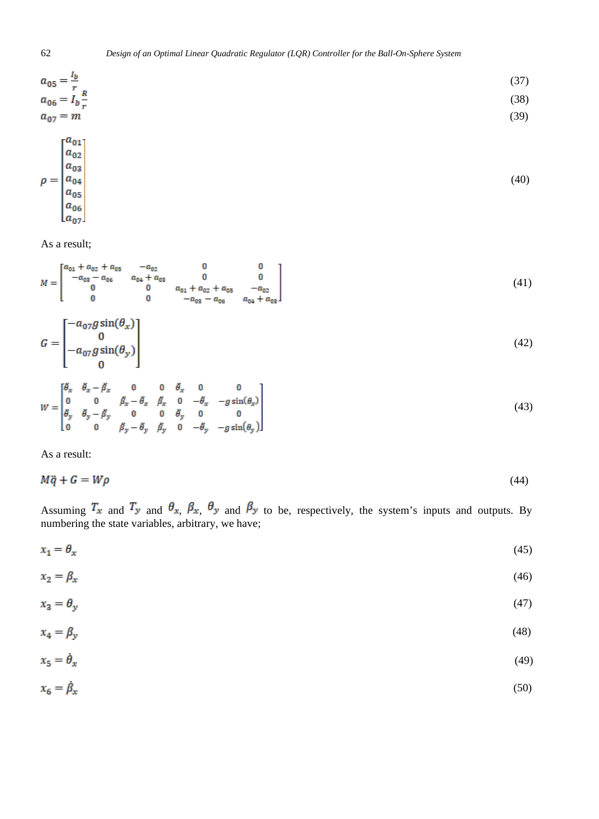$$
a_{05} = \frac{l_b}{r}
$$
  
\n
$$
a_{06} = I_b \frac{R}{r}
$$
  
\n
$$
a_{07} = m
$$
  
\n(37)  
\n(38)  
\n(39)  
\n(39)

$$
\rho = \begin{bmatrix} a_{02} \\ a_{03} \\ a_{04} \\ a_{05} \\ a_{06} \\ a_{07} \end{bmatrix} \tag{40}
$$

As a result;

$$
M = \begin{bmatrix} a_{01} + a_{02} + a_{05} & -a_{02} & 0 & 0 \\ -a_{03} - a_{06} & a_{04} + a_{03} & 0 & 0 \\ 0 & 0 & a_{01} + a_{02} + a_{05} & -a_{02} \\ 0 & 0 & -a_{03} - a_{06} & a_{04} + a_{03} \end{bmatrix}
$$
(41)  

$$
G = \begin{bmatrix} -a_{07}g\sin(\theta_{x}) \\ 0 \\ -a_{07}g\sin(\theta_{y}) \\ 0 \end{bmatrix}
$$
  

$$
W = \begin{bmatrix} \theta_{x} & \theta_{x} - \beta_{x} & 0 & 0 & \theta_{x} & 0 & 0 \\ 0 & 0 & \beta_{x} - \theta_{x} & \beta_{x} & 0 & -\theta_{x} & -g\sin(\theta_{x}) \\ \theta_{y} & \theta_{y} - \beta_{y} & 0 & 0 & \theta_{y} & 0 & 0 \\ 0 & 0 & \beta_{y} - \theta_{y} & \beta_{y} & 0 & -\theta_{y} & -g\sin(\theta_{y}) \end{bmatrix}
$$
(43)

As a result:

$$
M\ddot{q} + G = W\rho \tag{44}
$$

Assuming  $T_x$  and  $T_y$  and  $\theta_x$ ,  $\theta_x$ ,  $\theta_y$  and  $\theta_y$  to be, respectively, the system's inputs and outputs. By numbering the state variables, arbitrary, we have;

$$
x_1 = \theta_x \tag{45}
$$

$$
x_2 = \beta_x \tag{46}
$$

$$
x_3 = \theta_y \tag{47}
$$

$$
x_4 = \beta_y \tag{48}
$$

$$
x_5 = \dot{\theta}_x \tag{49}
$$

$$
x_6 = \dot{\beta}_x \tag{50}
$$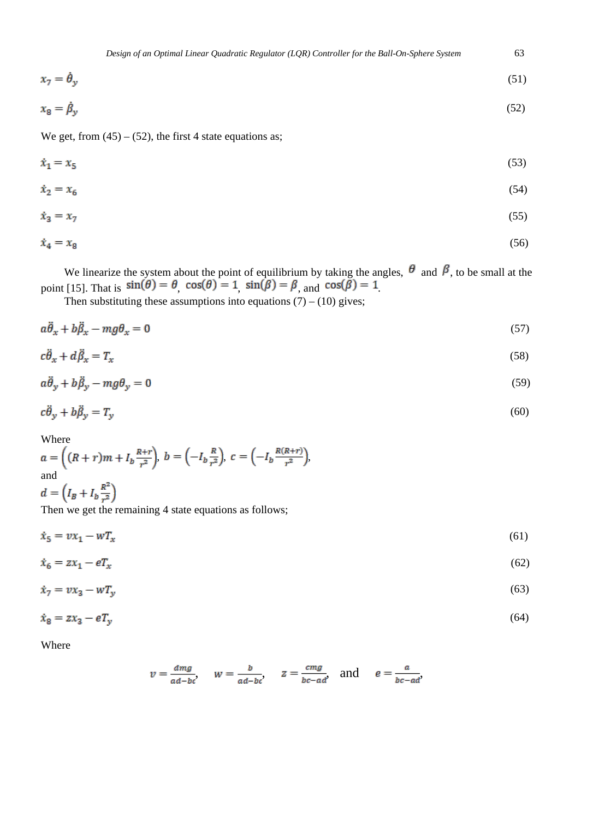$$
x_7 = \hat{\theta}_y \tag{51}
$$

$$
x_8 = \dot{\beta}_y \tag{52}
$$

We get, from  $(45) - (52)$ , the first 4 state equations as;

$$
\dot{x}_1 = x_5 \tag{53}
$$

$$
\dot{x}_2 = x_6 \tag{54}
$$

$$
\dot{x}_3 = x_7 \tag{55}
$$

$$
\dot{x}_4 = x_8 \tag{56}
$$

We linearize the system about the point of equilibrium by taking the angles,  $\sigma$  and  $\beta$ , to be small at the point [15]. That is  $\sin(\sigma) = \sigma$ ,  $\cos(\sigma) = 1$ ,  $\sin(\rho) = \rho$ , and  $\cos(\rho) = 1$ .

Then substituting these assumptions into equations  $(7) - (10)$  gives;

$$
a\ddot{\theta}_x + b\ddot{\beta}_x - mg\theta_x = 0\tag{57}
$$

$$
c\ddot{\theta}_x + d\ddot{\beta}_x = T_x \tag{58}
$$

$$
a\ddot{\theta}_y + b\ddot{\beta}_y - mg\theta_y = 0\tag{59}
$$

$$
c\ddot{\theta}_y + b\ddot{\beta}_y = T_y \tag{60}
$$

Where

$$
a = \left( (R+r)m + I_b \frac{R+r}{r^2} \right), b = \left( -I_b \frac{R}{r^2} \right), c = \left( -I_b \frac{R(R+r)}{r^2} \right),
$$
  
and  

$$
d = \left( I_B + I_b \frac{R^2}{r^2} \right)
$$

Then we get the remaining 4 state equations as follows;

 $\dot{x}_5 = \upsilon x_1 - \boldsymbol{w} T_x$ (61)

$$
\dot{x}_6 = zx_1 - eT_x \tag{62}
$$

$$
\dot{x}_7 = v x_3 - w T_y \tag{63}
$$

$$
\dot{x}_8 = zx_3 - eT_y \tag{64}
$$

Where

$$
v = \frac{dmg}{ad-bc}
$$
,  $w = \frac{b}{ad-bc}$ ,  $z = \frac{cmg}{bc-ad}$ , and  $e = \frac{a}{bc-ad}$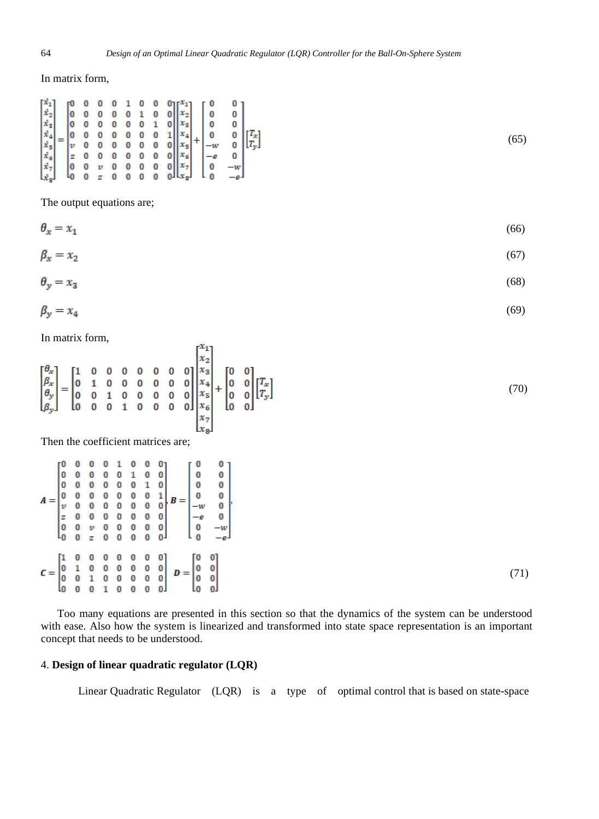In matrix form,

$$
\begin{bmatrix} \dot{x}_1 \\ \dot{x}_2 \\ \dot{x}_3 \\ \dot{x}_4 \\ \dot{x}_5 \\ \dot{x}_6 \\ \dot{x}_7 \\ \dot{x}_8 \end{bmatrix} = \begin{bmatrix} 0 & 0 & 0 & 0 & 1 & 0 & 0 & 0 \\ 0 & 0 & 0 & 0 & 0 & 1 & 0 & 0 \\ 0 & 0 & 0 & 0 & 0 & 0 & 1 & 0 \\ 0 & 0 & 0 & 0 & 0 & 0 & 0 & 1 \\ 0 & 0 & 0 & 0 & 0 & 0 & 0 & 0 \\ 0 & 0 & 0 & 0 & 0 & 0 & 0 & 0 \\ 0 & 0 & v & 0 & 0 & 0 & 0 & 0 \\ 0 & 0 & v & 0 & 0 & 0 & 0 & 0 \\ 0 & 0 & z & 0 & 0 & 0 & 0 & 0 \end{bmatrix} \begin{bmatrix} x_1 \\ x_2 \\ x_3 \\ x_4 \\ x_5 \\ x_6 \\ x_7 \end{bmatrix} + \begin{bmatrix} 0 & 0 \\ 0 & 0 \\ 0 & 0 \\ -w & 0 \\ -e & 0 \\ 0 & -w \end{bmatrix} \begin{bmatrix} T_x \\ T_x \\ T_y \end{bmatrix}
$$
\n
$$
(65)
$$

The output equations are;

 $\theta_x = x_1$ (66)

$$
\beta_x = x_2 \tag{67}
$$

$$
\theta_y = x_3 \tag{68}
$$

$$
\beta_y = x_4 \tag{69}
$$

 $\begin{bmatrix} x_1 \\ x \end{bmatrix}$ 

In matrix form,

$$
\begin{bmatrix} \theta_x \\ \beta_x \\ \theta_y \\ \beta_y \end{bmatrix} = \begin{bmatrix} 1 & 0 & 0 & 0 & 0 & 0 & 0 & 0 \\ 0 & 1 & 0 & 0 & 0 & 0 & 0 & 0 \\ 0 & 0 & 1 & 0 & 0 & 0 & 0 & 0 \\ 0 & 0 & 0 & 1 & 0 & 0 & 0 & 0 \end{bmatrix} \begin{bmatrix} x_2 \\ x_3 \\ x_4 \\ x_5 \\ x_6 \end{bmatrix} + \begin{bmatrix} 0 & 0 \\ 0 & 0 \\ 0 & 0 \\ 0 & 0 \end{bmatrix} \begin{bmatrix} T_x \\ T_y \end{bmatrix}
$$
(70)

Then the coefficient matrices are;

|  |  |  |  | $=\begin{bmatrix} 0 & 0 & 0 & 0 & 1 & 0 & 0 & 0 \\ 0 & 0 & 0 & 0 & 0 & 1 & 0 & 0 \\ 0 & 0 & 0 & 0 & 0 & 0 & 1 & 0 \\ 0 & 0 & 0 & 0 & 0 & 0 & 0 & 1 \\ v & 0 & 0 & 0 & 0 & 0 & 0 & 0 \\ z & 0 & 0 & 0 & 0 & 0 & 0 & 0 \\ 0 & 0 & v & 0 & 0 & 0 & 0 & 0 \\ 0 & 0 & z & 0 & 0 & 0 & 0 & 0 \end{bmatrix}, \boldsymbol{B}=\begin{bmatrix} 0 & 0 \\ 0 &$ |  |  |
|--|--|--|--|----------------------------------------------------------------------------------------------------------------------------------------------------------------------------------------------------------------------------------------------------------------------------------------------------------------------------------------------------|--|--|
|  |  |  |  | $\mathcal{C} = \begin{bmatrix} 1 & 0 & 0 & 0 & 0 & 0 & 0 & 0 \\ 0 & 1 & 0 & 0 & 0 & 0 & 0 & 0 \\ 0 & 0 & 1 & 0 & 0 & 0 & 0 & 0 \\ 0 & 0 & 0 & 1 & 0 & 0 & 0 & 0 \end{bmatrix} \ \mathcal{D} = \begin{bmatrix} 0 & 0 \\ 0 & 0 \\ 0 & 0 \\ 0 & 0 \end{bmatrix}$                                                                                      |  |  |

 Too many equations are presented in this section so that the dynamics of the system can be understood with ease. Also how the system is linearized and transformed into state space representation is an important concept that needs to be understood.

# 4. **Design of linear quadratic regulator (LQR)**

Linear Quadratic Regulator (LQR) is a type of optimal control that is based on state-space

(71)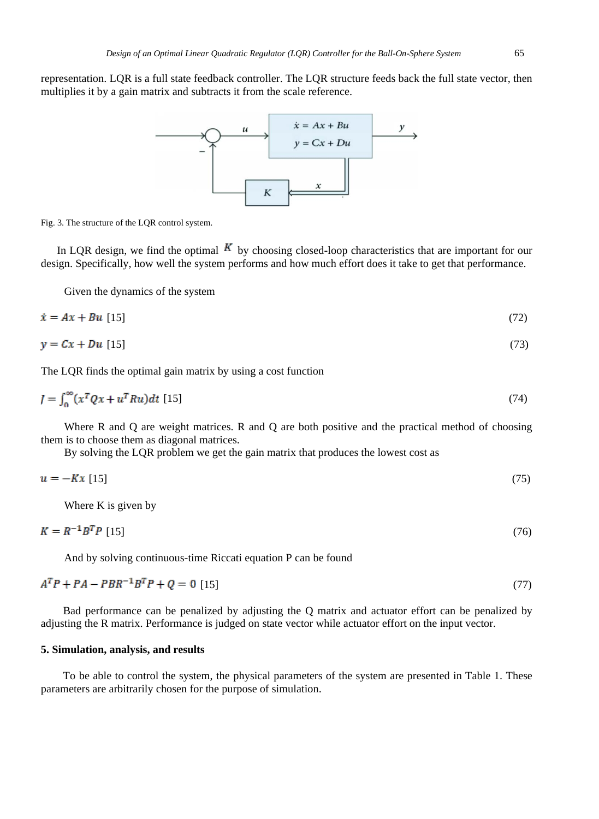representation. LQR is a full state feedback controller. The LQR structure feeds back the full state vector, then multiplies it by a gain matrix and subtracts it from the scale reference.



Fig. 3. The structure of the LQR control system.

In LQR design, we find the optimal  $\boldsymbol{K}$  by choosing closed-loop characteristics that are important for our design. Specifically, how well the system performs and how much effort does it take to get that performance.

Given the dynamics of the system

$$
\dot{x} = Ax + Bu \quad [15] \tag{72}
$$

$$
y = Cx + Du \quad [15] \tag{73}
$$

The LQR finds the optimal gain matrix by using a cost function

$$
J = \int_0^\infty (x^T Q x + u^T R u) dt
$$
 [15] (74)

Where R and Q are weight matrices. R and Q are both positive and the practical method of choosing them is to choose them as diagonal matrices.

By solving the LQR problem we get the gain matrix that produces the lowest cost as

$$
u = -Kx \quad [15] \tag{75}
$$

Where K is given by

$$
K = R^{-1}B^{T}P \quad [15]
$$
\n
$$
\tag{76}
$$

And by solving continuous-time Riccati equation P can be found

$$
A^T P + P A - P B R^{-1} B^T P + Q = 0 \quad [15]
$$
\n<sup>(77)</sup>

Bad performance can be penalized by adjusting the Q matrix and actuator effort can be penalized by adjusting the R matrix. Performance is judged on state vector while actuator effort on the input vector.

## **5. Simulation, analysis, and results**

To be able to control the system, the physical parameters of the system are presented in Table 1. These parameters are arbitrarily chosen for the purpose of simulation.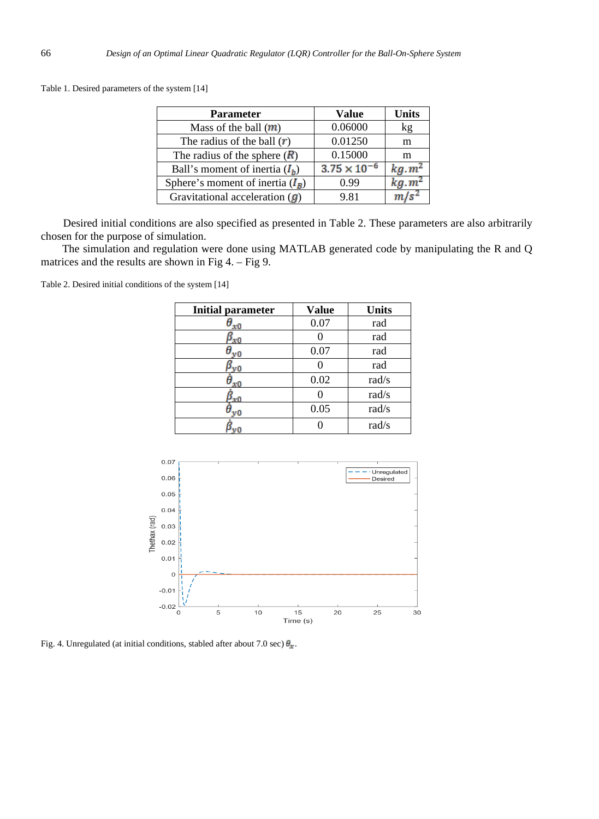Table 1. Desired parameters of the system [14]

| <b>Parameter</b>                      | Value                 | Units             |
|---------------------------------------|-----------------------|-------------------|
| Mass of the ball $(m)$                | 0.06000               | kg                |
| The radius of the ball $(\mathbf{r})$ | 0.01250               | m                 |
| The radius of the sphere $(R)$        | 0.15000               | m                 |
| Ball's moment of inertia $(I_h)$      | $3.75 \times 10^{-7}$ | kg.m <sup>2</sup> |
| Sphere's moment of inertia $(I_R)$    | 0.99                  | $kg.m^2$          |
| Gravitational acceleration $(q)$      | 9.81                  |                   |

Desired initial conditions are also specified as presented in Table 2. These parameters are also arbitrarily

The simulation and regulation were done using MATLAB generated code by manipulating the R and Q matrices and the results are shown in Fig 4. – Fig 9.

Table 2. Desired initial conditions of the system [14]

| <b>Initial parameter</b> | <b>Value</b> | <b>Units</b> |
|--------------------------|--------------|--------------|
| $x_0$                    | 0.07         | rad          |
| 'x0                      |              | rad          |
| νO                       | 0.07         | rad          |
| νŌ                       |              | rad          |
| χŌ                       | 0.02         | rad/s        |
| 'x0                      |              | rad/s        |
| νO                       | 0.05         | rad/s        |
|                          |              | rad/s        |



Fig. 4. Unregulated (at initial conditions, stabled after about 7.0 sec)  $\theta_x$ .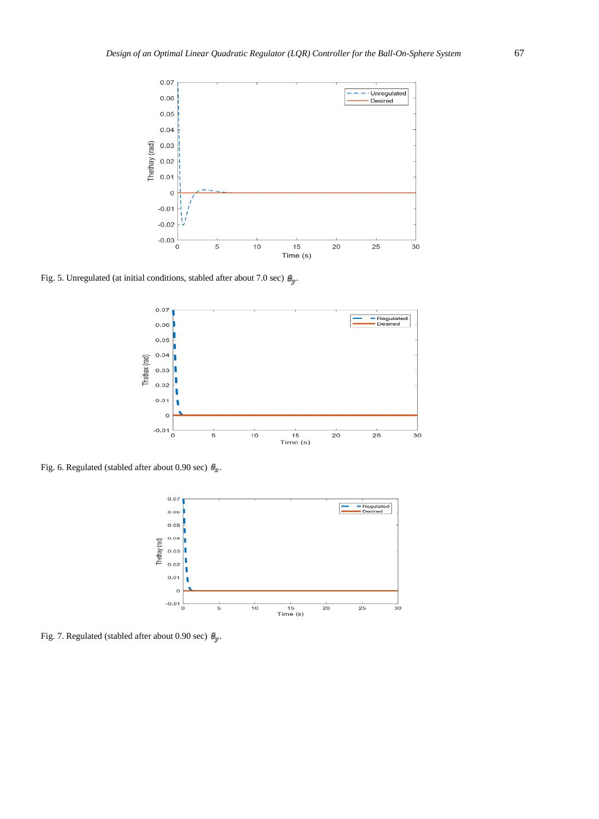

Fig. 5. Unregulated (at initial conditions, stabled after about 7.0 sec)  $\theta_y$ .



Fig. 6. Regulated (stabled after about 0.90 sec)  $\theta_x$ .



Fig. 7. Regulated (stabled after about 0.90 sec)  $\theta_y$ .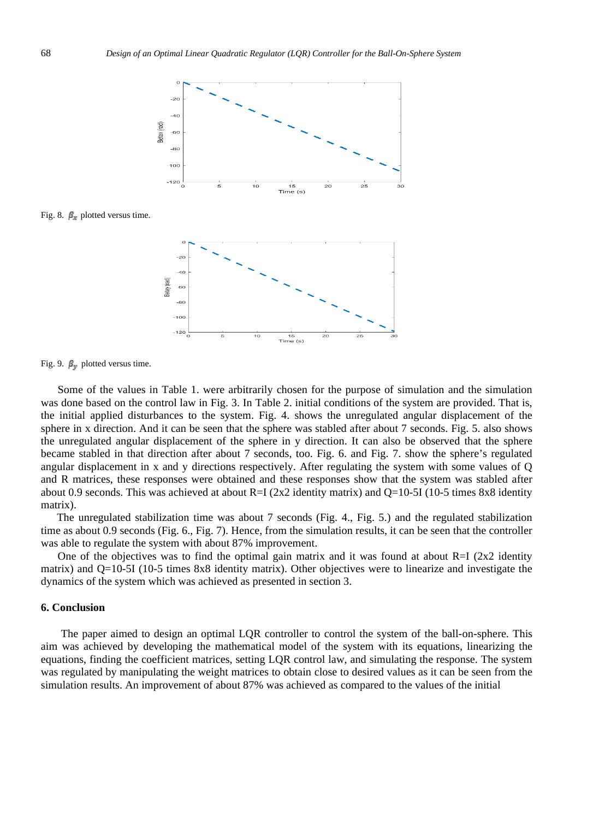

Fig. 8.  $\beta_x$  plotted versus time.



Fig. 9.  $\beta_{\rm F}$  plotted versus time.

 Some of the values in Table 1. were arbitrarily chosen for the purpose of simulation and the simulation was done based on the control law in Fig. 3. In Table 2. initial conditions of the system are provided. That is, the initial applied disturbances to the system. Fig. 4. shows the unregulated angular displacement of the sphere in x direction. And it can be seen that the sphere was stabled after about 7 seconds. Fig. 5. also shows the unregulated angular displacement of the sphere in y direction. It can also be observed that the sphere became stabled in that direction after about 7 seconds, too. Fig. 6. and Fig. 7. show the sphere's regulated angular displacement in x and y directions respectively. After regulating the system with some values of Q and R matrices, these responses were obtained and these responses show that the system was stabled after about 0.9 seconds. This was achieved at about R=I ( $2x2$  identity matrix) and Q=10-5I (10-5 times 8x8 identity matrix).

 The unregulated stabilization time was about 7 seconds (Fig. 4., Fig. 5.) and the regulated stabilization time as about 0.9 seconds (Fig. 6., Fig. 7). Hence, from the simulation results, it can be seen that the controller was able to regulate the system with about 87% improvement.

One of the objectives was to find the optimal gain matrix and it was found at about  $R=I$  (2x2 identity matrix) and Q=10-5I (10-5 times 8x8 identity matrix). Other objectives were to linearize and investigate the dynamics of the system which was achieved as presented in section 3.

#### **6. Conclusion**

 The paper aimed to design an optimal LQR controller to control the system of the ball-on-sphere. This aim was achieved by developing the mathematical model of the system with its equations, linearizing the equations, finding the coefficient matrices, setting LQR control law, and simulating the response. The system was regulated by manipulating the weight matrices to obtain close to desired values as it can be seen from the simulation results. An improvement of about 87% was achieved as compared to the values of the initial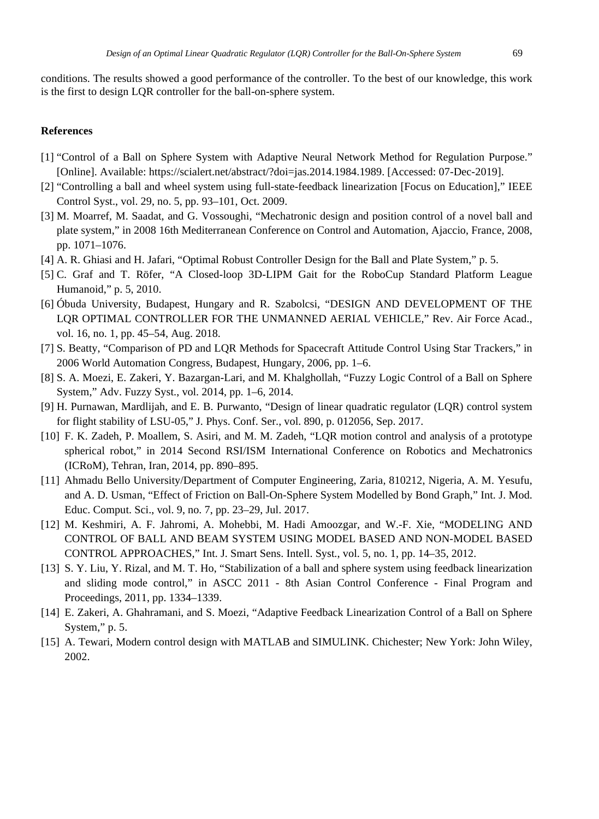conditions. The results showed a good performance of the controller. To the best of our knowledge, this work is the first to design LQR controller for the ball-on-sphere system.

### **References**

- [1] "Control of a Ball on Sphere System with Adaptive Neural Network Method for Regulation Purpose." [Online]. Available: https://scialert.net/abstract/?doi=jas.2014.1984.1989. [Accessed: 07-Dec-2019].
- [2] "Controlling a ball and wheel system using full-state-feedback linearization [Focus on Education]," IEEE Control Syst., vol. 29, no. 5, pp. 93–101, Oct. 2009.
- [3] M. Moarref, M. Saadat, and G. Vossoughi, "Mechatronic design and position control of a novel ball and plate system," in 2008 16th Mediterranean Conference on Control and Automation, Ajaccio, France, 2008, pp. 1071–1076.
- [4] A. R. Ghiasi and H. Jafari, "Optimal Robust Controller Design for the Ball and Plate System," p. 5.
- [5] C. Graf and T. Röfer, "A Closed-loop 3D-LIPM Gait for the RoboCup Standard Platform League Humanoid," p. 5, 2010.
- [6] Óbuda University, Budapest, Hungary and R. Szabolcsi, "DESIGN AND DEVELOPMENT OF THE LQR OPTIMAL CONTROLLER FOR THE UNMANNED AERIAL VEHICLE," Rev. Air Force Acad., vol. 16, no. 1, pp. 45–54, Aug. 2018.
- [7] S. Beatty, "Comparison of PD and LQR Methods for Spacecraft Attitude Control Using Star Trackers," in 2006 World Automation Congress, Budapest, Hungary, 2006, pp. 1–6.
- [8] S. A. Moezi, E. Zakeri, Y. Bazargan-Lari, and M. Khalghollah, "Fuzzy Logic Control of a Ball on Sphere System," Adv. Fuzzy Syst., vol. 2014, pp. 1–6, 2014.
- [9] H. Purnawan, Mardlijah, and E. B. Purwanto, "Design of linear quadratic regulator (LQR) control system for flight stability of LSU-05," J. Phys. Conf. Ser., vol. 890, p. 012056, Sep. 2017.
- [10] F. K. Zadeh, P. Moallem, S. Asiri, and M. M. Zadeh, "LQR motion control and analysis of a prototype spherical robot," in 2014 Second RSI/ISM International Conference on Robotics and Mechatronics (ICRoM), Tehran, Iran, 2014, pp. 890–895.
- [11] Ahmadu Bello University/Department of Computer Engineering, Zaria, 810212, Nigeria, A. M. Yesufu, and A. D. Usman, "Effect of Friction on Ball-On-Sphere System Modelled by Bond Graph," Int. J. Mod. Educ. Comput. Sci., vol. 9, no. 7, pp. 23–29, Jul. 2017.
- [12] M. Keshmiri, A. F. Jahromi, A. Mohebbi, M. Hadi Amoozgar, and W.-F. Xie, "MODELING AND CONTROL OF BALL AND BEAM SYSTEM USING MODEL BASED AND NON-MODEL BASED CONTROL APPROACHES," Int. J. Smart Sens. Intell. Syst., vol. 5, no. 1, pp. 14–35, 2012.
- [13] S. Y. Liu, Y. Rizal, and M. T. Ho, "Stabilization of a ball and sphere system using feedback linearization and sliding mode control," in ASCC 2011 - 8th Asian Control Conference - Final Program and Proceedings, 2011, pp. 1334–1339.
- [14] E. Zakeri, A. Ghahramani, and S. Moezi, "Adaptive Feedback Linearization Control of a Ball on Sphere System," p. 5.
- [15] A. Tewari, Modern control design with MATLAB and SIMULINK. Chichester; New York: John Wiley, 2002.